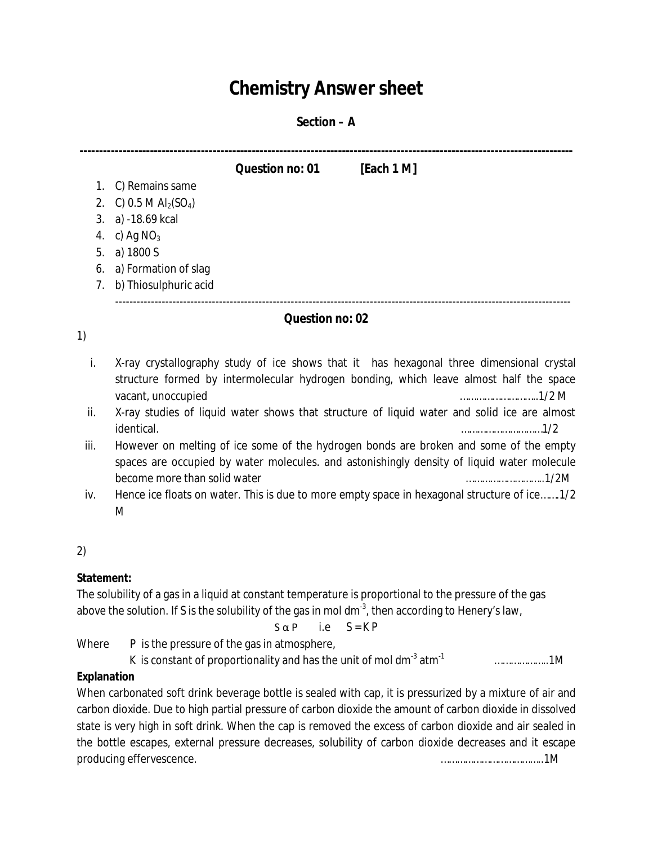# **Chemistry Answer sheet**

#### **Section – A**

**------------------------------------------------------------------------------------------------------------------------------ Question no: 01 [Each 1 M]**

1. C) Remains same

- 2. C) 0.5 M  $Al<sub>2</sub>(SO<sub>4</sub>)$
- 3. a) -18.69 kcal
- 4. c) Ag  $NO<sub>3</sub>$
- 5. a) 1800 S
- 6. a) Formation of slag
- 7. b) Thiosulphuric acid

# -------------------------------------------------------------------------------------------------------------------------------

### **Question no: 02**

1)

- i. X-ray crystallography study of ice shows that it has hexagonal three dimensional crystal structure formed by intermolecular hydrogen bonding, which leave almost half the space vacant, unoccupied ………………………..1/2 M
- ii. X-ray studies of liquid water shows that structure of liquid water and solid ice are almost identical. …………………………1/2
- iii. However on melting of ice some of the hydrogen bonds are broken and some of the empty spaces are occupied by water molecules. and astonishingly density of liquid water molecule become more than solid water **we are ablamant water** than  $\frac{1}{2}M$
- iv. Hence ice floats on water. This is due to more empty space in hexagonal structure of ice…….1/2 M

# 2)

# **Statement:**

The solubility of a gas in a liquid at constant temperature is proportional to the pressure of the gas above the solution. If S is the solubility of the gas in mol dm $^{\text{3}}$ , then according to Henery's law,

$$
S \alpha P \qquad i.e \qquad S = K P
$$

Where P is the pressure of the gas in atmosphere,

K is constant of proportionality and has the unit of mol dm<sup>-3</sup> atm<sup>-1</sup> ………………..1M

# **Explanation**

When carbonated soft drink beverage bottle is sealed with cap, it is pressurized by a mixture of air and carbon dioxide. Due to high partial pressure of carbon dioxide the amount of carbon dioxide in dissolved state is very high in soft drink. When the cap is removed the excess of carbon dioxide and air sealed in the bottle escapes, external pressure decreases, solubility of carbon dioxide decreases and it escape producing effervescence. ………………………………..1M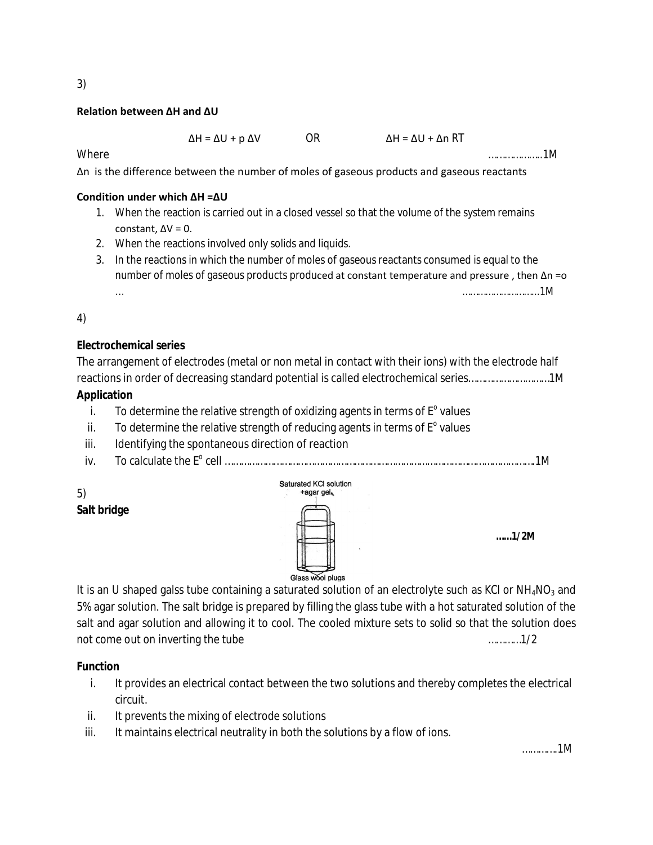#### **Relation between ΔH and ΔU**

| $\Delta H = \Delta U + p \Delta V$ | 0R | $\Delta H = \Delta U + \Delta n RT$ |
|------------------------------------|----|-------------------------------------|
|------------------------------------|----|-------------------------------------|

Where ………………..1M

Δn is the difference between the number of moles of gaseous products and gaseous reactants

#### **Condition under which ΔH =ΔU**

- 1. When the reaction is carried out in a closed vessel so that the volume of the system remains constant,  $\Delta V = 0$ .
- 2. When the reactions involved only solids and liquids.
- 3. In the reactions in which the number of moles of gaseous reactants consumed is equal to the number of moles of gaseous products produced at constant temperature and pressure , then Δn =o … ………………………...1M

4)

### **Electrochemical series**

The arrangement of electrodes (metal or non metal in contact with their ions) with the electrode half reactions in order of decreasing standard potential is called electrochemical series…………………………1M

### **Application**

- i. To determine the relative strength of oxidizing agents in terms of  $E^{\circ}$  values
- ii. To determine the relative strength of reducing agents in terms of  $E<sup>o</sup>$  values
- iii. Identifying the spontaneous direction of reaction
- iv. To calculate the E<sup>o</sup> cell …………………………………………………………………………………………………….1M

5) **Salt bridge**



It is an U shaped galss tube containing a saturated solution of an electrolyte such as KCI or  $NH_4NO_3$  and 5% agar solution. The salt bridge is prepared by filling the glass tube with a hot saturated solution of the salt and agar solution and allowing it to cool. The cooled mixture sets to solid so that the solution does not come out on inverting the tube measurement of the set of the set of the set of the set of the set of the s

#### **Function**

- i. It provides an electrical contact between the two solutions and thereby completes the electrical circuit.
- ii. It prevents the mixing of electrode solutions
- iii. It maintains electrical neutrality in both the solutions by a flow of ions.

………….1M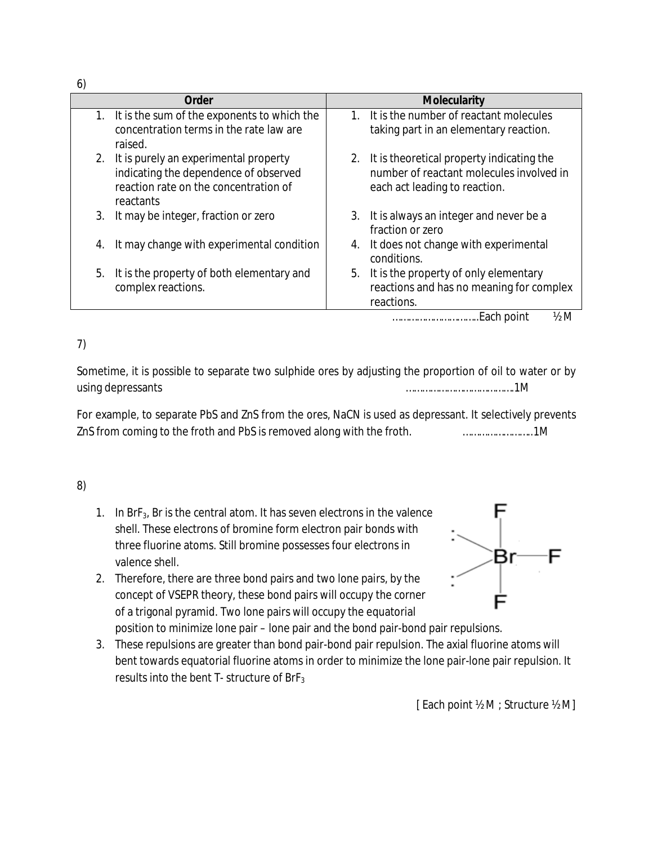6)

| <b>Order</b> |                                                                                                                         |                                                           | <b>Molecularity</b>                                                                                                       |  |  |  |
|--------------|-------------------------------------------------------------------------------------------------------------------------|-----------------------------------------------------------|---------------------------------------------------------------------------------------------------------------------------|--|--|--|
| 1.           | It is the sum of the exponents to which the<br>concentration terms in the rate law are                                  |                                                           | 1. It is the number of reactant molecules<br>taking part in an elementary reaction.                                       |  |  |  |
|              | raised.                                                                                                                 |                                                           |                                                                                                                           |  |  |  |
| 2.           | It is purely an experimental property<br>indicating the dependence of observed<br>reaction rate on the concentration of |                                                           | 2. It is theoretical property indicating the<br>number of reactant molecules involved in<br>each act leading to reaction. |  |  |  |
|              | reactants                                                                                                               |                                                           |                                                                                                                           |  |  |  |
| 3.           | It may be integer, fraction or zero                                                                                     |                                                           | 3. It is always an integer and never be a<br>fraction or zero                                                             |  |  |  |
| 4.           | It may change with experimental condition                                                                               | It does not change with experimental<br>4.<br>conditions. |                                                                                                                           |  |  |  |
| 5.           | It is the property of both elementary and<br>complex reactions.                                                         |                                                           | 5. It is the property of only elementary<br>reactions and has no meaning for complex<br>reactions.                        |  |  |  |
|              |                                                                                                                         |                                                           | $\frac{1}{2}M$<br>Each point<br>                                                                                          |  |  |  |

# 7)

Sometime, it is possible to separate two sulphide ores by adjusting the proportion of oil to water or by using depressants ………………………………….1M

For example, to separate PbS and ZnS from the ores, NaCN is used as depressant. It selectively prevents ZnS from coming to the froth and PbS is removed along with the froth. ……………………..1M

# 8)

- 1. In BrF3, Br is the central atom. It has seven electrons in the valence shell. These electrons of bromine form electron pair bonds with three fluorine atoms. Still bromine possesses four electrons in valence shell.
- 2. Therefore, there are three bond pairs and two lone pairs, by the concept of VSEPR theory, these bond pairs will occupy the corner of a trigonal pyramid. Two lone pairs will occupy the equatorial position to minimize lone pair – lone pair and the bond pair-bond pair repulsions.
- 3. These repulsions are greater than bond pair-bond pair repulsion. The axial fluorine atoms will bent towards equatorial fluorine atoms in order to minimize the lone pair-lone pair repulsion. It results into the bent  $T-$  structure of BrF<sub>3</sub>

Br

[ Each point ½ M ; Structure ½ M]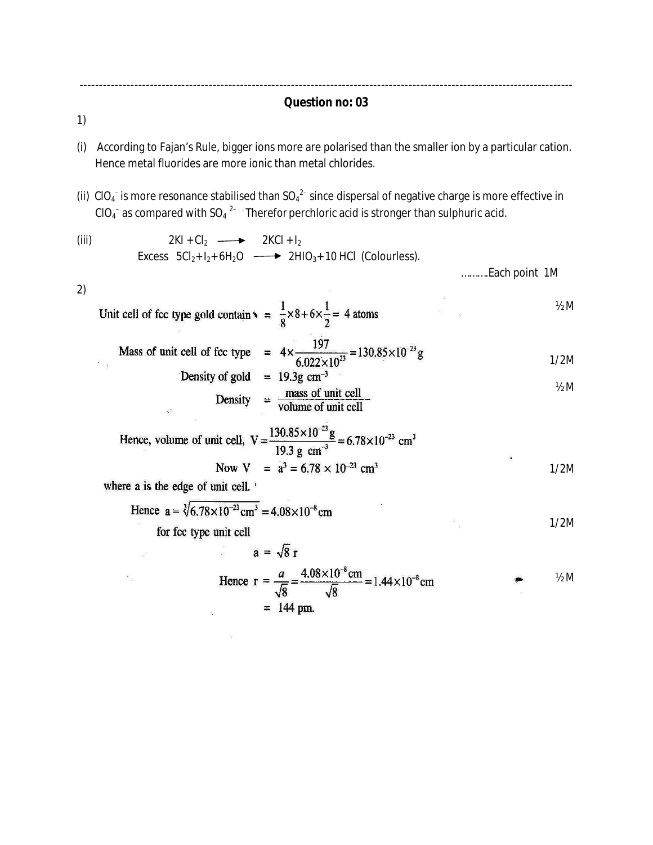------------------------------------------------------------------------------------------------------------------------------ **Question no: 03**

1)

- (i) According to Fajan's Rule, bigger ions more are polarised than the smaller ion by a particular cation. Hence metal fluorides are more ionic than metal chlorides.
- (ii) CIO<sub>4</sub><sup>-</sup> is more resonance stabilised than SO<sub>4</sub><sup>2-</sup> since dispersal of negative charge is more effective in CIO<sub>4</sub><sup>-</sup> as compared with SO<sub>4</sub><sup>2-</sup> Therefor perchloric acid is stronger than sulphuric acid.

$$
(iii)
$$

(iii)  $2KI + Cl_2 \longrightarrow 2KCl + I_2$ Excess  $5Cl<sub>2</sub>+ I<sub>2</sub>+ 6H<sub>2</sub>O \longrightarrow 2HIO<sub>3</sub>+ 10 HCl$  (Colourless).

……….Each point 1M

2)

Unit cell of fcc type gold contain 
$$
\sqrt{ } = \frac{1}{8} \times 8 + 6 \times \frac{1}{2} = 4
$$
 atoms

 $\mathcal{R}^{\mathcal{C}}$ 

Mass of unit cell of fcc type = 
$$
4 \times \frac{197}{6.022 \times 10^{23}} = 130.85 \times 10^{-23} \text{ g}
$$

Density of goal = 19.3g cm<sup>-5</sup>  
Density = 
$$
\frac{\text{mass of unit cell}}{\text{volume of unit cell}}
$$

Hence, volume of unit cell, 
$$
V = \frac{130.85 \times 10^{-23} g}{19.3 g cm^{-3}} = 6.78 \times 10^{-23} cm^{3}
$$
  
Now  $V = \dot{a}^{3} = 6.78 \times 10^{-23} cm^{3}$ 

 $\frac{1}{2}$ 

where a is the edge of unit cell.

 $\mathbb{R}^2$ 

 $\begin{array}{c} \parallel 30 \\ \parallel 30 \end{array}$ 

 $\frac{1}{2}$ 

Hence 
$$
a = \sqrt[3]{6.78 \times 10^{-23} \text{ cm}^3} = 4.08 \times 10^{-8} \text{ cm}
$$
  
for for two units = 11

for fcc type unit cell

estili<br>1158

$$
a = \sqrt{8} r
$$

Hence 
$$
r = \frac{a}{\sqrt{8}} = \frac{4.08 \times 10^{-8} \text{cm}}{\sqrt{8}} = 1.44 \times 10^{-8} \text{cm}
$$
  
= 144 pm.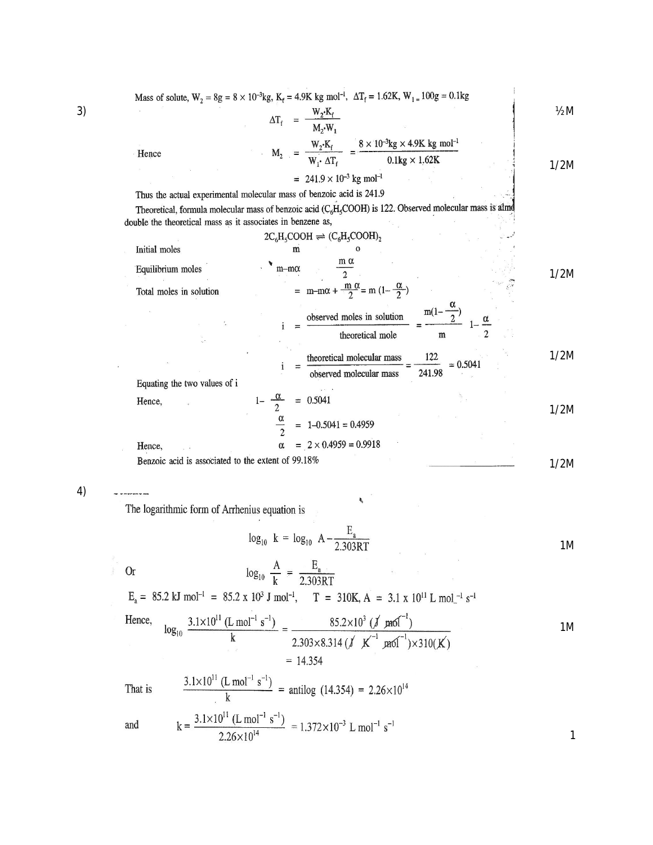| 3) |                                                             | Mass of solute, $W_2 = 8g = 8 \times 10^{-3}kg$ , $K_f = 4.9K$ kg mol <sup>-1</sup> , $\Delta T_f = 1.62K$ , $W_1 = 100g = 0.1kg$<br>$\Delta T_f = \frac{W_2 \cdot K_f}{M_2 \cdot W_1}$ | $\frac{1}{2}M$ |
|----|-------------------------------------------------------------|-----------------------------------------------------------------------------------------------------------------------------------------------------------------------------------------|----------------|
|    | Hence                                                       | $M_2 = \frac{W_2 \cdot K_f}{W_1 \cdot \Delta T_f} = \frac{8 \times 10^{-3} kg \times 4.9 K kg mol^{-1}}{0.1 kg \times 1.62 K}$                                                          | 1/2M           |
|    |                                                             | $= 241.9 \times 10^{-3}$ kg mol <sup>-1</sup><br>Thus the actual experimental molecular mass of benzoic acid is 241.9                                                                   |                |
|    | double the theoretical mass as it associates in benzene as, | Theoretical, formula molecular mass of benzoic acid (C <sub>6</sub> H <sub>5</sub> COOH) is 122. Observed molecular mass is alme                                                        |                |
|    |                                                             | $2C_6H_5COOH \rightleftharpoons (C_6H_5COOH)_2$                                                                                                                                         |                |
|    | Initial moles                                               | m                                                                                                                                                                                       |                |
|    | Equilibrium moles                                           | $\mathbf{m}\text{--}\mathbf{m}\alpha$                                                                                                                                                   | 1/2M           |
|    | Total moles in solution                                     | = m-m $\alpha$ + $\frac{m \alpha}{2}$ = m $(1-\frac{\alpha}{2})$                                                                                                                        |                |
|    |                                                             | $m(1-\frac{w}{2})$<br>observed moles in solution<br>theoretical mole<br>m                                                                                                               |                |
|    |                                                             | theoretical molecular mass<br>122                                                                                                                                                       | 1/2M           |
|    | Equating the two values of i                                | $= 0.5041$<br>observed molecular mass<br>241.98                                                                                                                                         |                |
|    | Hence,                                                      | $1 - \frac{\alpha}{2}$<br>$= 0.5041$                                                                                                                                                    | 1/2M           |
|    |                                                             | $= 1 - 0.5041 = 0.4959$                                                                                                                                                                 |                |
|    | Hence,                                                      | $= 2 \times 0.4959 = 0.9918$                                                                                                                                                            |                |
|    | Benzoic acid is associated to the extent of 99.18%          |                                                                                                                                                                                         | 1/2M           |

4)

The logarithmic form of Arrhenius equation is

$$
\log_{10} \ k = \log_{10} \ A - \frac{E_a}{2.303RT} \tag{1M}
$$

 $\approx$ 

 $\int_{0}^{\infty}$  Or

 $\log_{10} \frac{A}{k} = \frac{E_a}{2.303RT}$  $E_a = 85.2 \text{ kJ mol}^{-1} = 85.2 \text{ x } 10^3 \text{ J mol}^{-1}$ ,  $T = 310 \text{K}$ ,  $A = 3.1 \text{ x } 10^{11} \text{ L mol}^{-1} \text{ s}^{-1}$ 

Hence, 
$$
\log_{10} \frac{3.1 \times 10^{11} (L \text{ mol}^{-1} \text{ s}^{-1})}{k} = \frac{85.2 \times 10^3 (\text{J m}^{-1})}{2.303 \times 8.314 (\text{J K}^{-1} \text{ mol}^{-1}) \times 310(\text{K})}
$$
1M

 $\pmb{\xi}$ 

$$
\log_{10} \frac{3.1 \times 10^{11} \text{ (L mol}^{-8} \text{ J})}{k} = \frac{63.2 \times 10^{10} \text{ (J/mol}^{-1})}{2.303 \times 8.314 \text{ (J K}^{-1} \text{ mol}^{-1}) \times 310 \text{ (K)}} = 14.354
$$
\nThat is

\n
$$
\frac{3.1 \times 10^{11} \text{ (L mol}^{-1} \text{ s}^{-1})}{k} = \text{antilog } (14.354) = 2.26 \times 10^{14}
$$
\nand

\n
$$
k = \frac{3.1 \times 10^{11} \text{ (L mol}^{-1} \text{ s}^{-1})}{2.26 \times 10^{14}} = 1.372 \times 10^{-3} \text{ L mol}^{-1} \text{ s}^{-1}
$$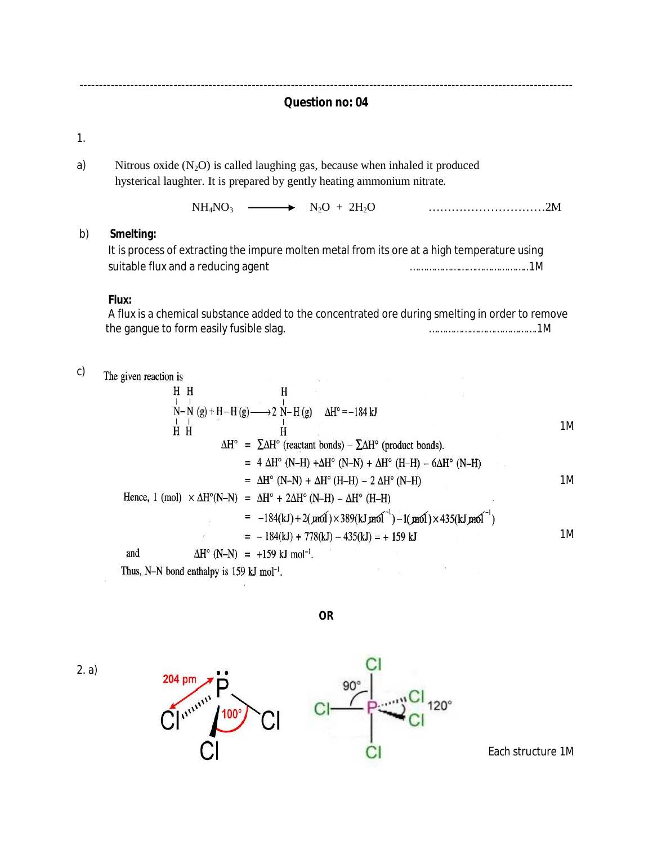------------------------------------------------------------------------------------------------------------------------------ **Question no: 04**

1.

a) Nitrous oxide  $(N_2O)$  is called laughing gas, because when inhaled it produced hysterical laughter. It is prepared by gently heating ammonium nitrate.

NH4NO3 N2O + 2H2O …………………………2M

#### b) **Smelting:**

|                                    | It is process of extracting the impure molten metal from its ore at a high temperature using |
|------------------------------------|----------------------------------------------------------------------------------------------|
| suitable flux and a reducing agent |                                                                                              |

## **Flux:**

 A flux is a chemical substance added to the concentrated ore during smelting in order to remove the gangue to form easily fusible slag. ………………………………….1M

c) The given reaction is

H  
\n
$$
\begin{vmatrix}\nH & H \\
N-N & (g) + H-H(g) \longrightarrow 2 \\
H & H\n\end{vmatrix}
$$
  
\n $\begin{vmatrix}\nH & H \\
H & H\n\end{vmatrix}$   
\n $\Delta H^{\circ} = \sum \Delta H^{\circ}$  (reactant bonds) -  $\sum \Delta H^{\circ}$  (product bonds).  
\n $= 4 \Delta H^{\circ}$  (N-H) +  $\Delta H^{\circ}$  (N-N) +  $\Delta H^{\circ}$  (H-H) -  $6\Delta H^{\circ}$  (N-H)  
\n $= \Delta H^{\circ}$  (N-N) +  $\Delta H^{\circ}$  (H-H) - 2  $\Delta H^{\circ}$  (N-H)  
\nHence, 1 (mol) ×  $\Delta H^{\circ}$ (N-N) =  $\Delta H^{\circ}$  +  $2\Delta H^{\circ}$  (N-H) -  $\Delta H^{\circ}$  (H-H)  
\n $= -184(kJ) + 2(m6I) \times 389(kJ \text{ m}6I^{-1}) - 1(m6I) \times 435(kJ \text{ m}6I^{-1})$   
\n $= -184(kJ) + 778(kJ) - 435(kJ) = +159 kJ$ 

Thus, N-N bond enthalpy is 159 kJ mol<sup>-1</sup>.

**OR**

2. a)





Each structure 1M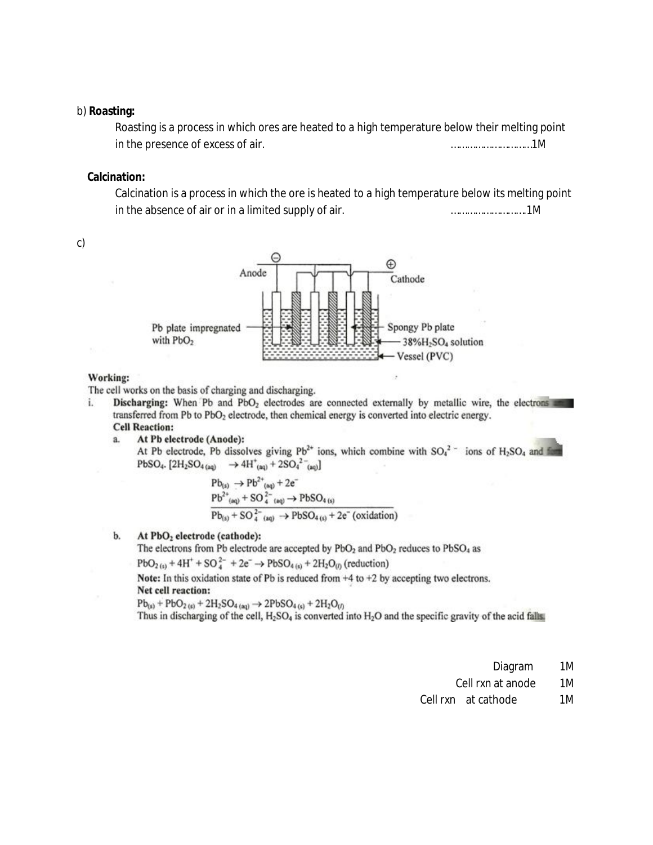#### b) **Roasting:**

Roasting is a process in which ores are heated to a high temperature below their melting point in the presence of excess of air. …………………………1M

#### **Calcination:**

Calcination is a process in which the ore is heated to a high temperature below its melting point in the absence of air or in a limited supply of air. ……………………….1M



#### Working:

The cell works on the basis of charging and discharging.

- **Discharging:** When Pb and PbO<sub>2</sub> electrodes are connected externally by metallic wire, the electrons i. transferred from Pb to PbO<sub>2</sub> electrode, then chemical energy is converted into electric energy. **Cell Reaction:** 
	- At Pb electrode (Anode): a. At Pb electrode, Pb dissolves giving  $Pb^{2+}$  ions, which combine with  $SO_4^2$  ions of H<sub>2</sub>SO<sub>4</sub> and for PbSO<sub>4</sub>.  $[2H_2SO_{4(aa)} \rightarrow 4H_{(aa)}^+ + 2SO_4^{2-}$ <sub>(a0</sub>)

$$
Pb_{(s)} \rightarrow Pb^{2+}_{(aq)} + 2e^-
$$
  
\n
$$
Pb^{2+}_{(aq)} + SO^{2-}_{4-(aq)} \rightarrow PbSO_{4(s)}
$$
  
\n
$$
Pb_{(s)} + SO^{2-}_{4-(aq)} \rightarrow PbSO_{4(s)} + 2e^- (oxidation)
$$

#### b. At PbO<sub>2</sub> electrode (cathode):

The electrons from Pb electrode are accepted by PbO<sub>2</sub> and PbO<sub>2</sub> reduces to PbSO<sub>4</sub> as

 $PbO_{2(s)} + 4H^+ + SO_4^{2-} + 2e^- \rightarrow PbSO_{4(s)} + 2H_2O_{(t)}$  (reduction)

Note: In this oxidation state of Pb is reduced from  $+4$  to  $+2$  by accepting two electrons. Net cell reaction:

 $Pb_{(s)}$  +  $PbO_{2(s)}$  +  $2H_2SO_{4(aq)}$   $\rightarrow$   $2PbSO_{4(s)}$  +  $2H_2O_{(f)}$ 

Thus in discharging of the cell, H<sub>2</sub>SO<sub>4</sub> is converted into H<sub>2</sub>O and the specific gravity of the acid falls.

Diagram 1M

Cell rxn at anode 1M

Cell rxn at cathode 1M

c)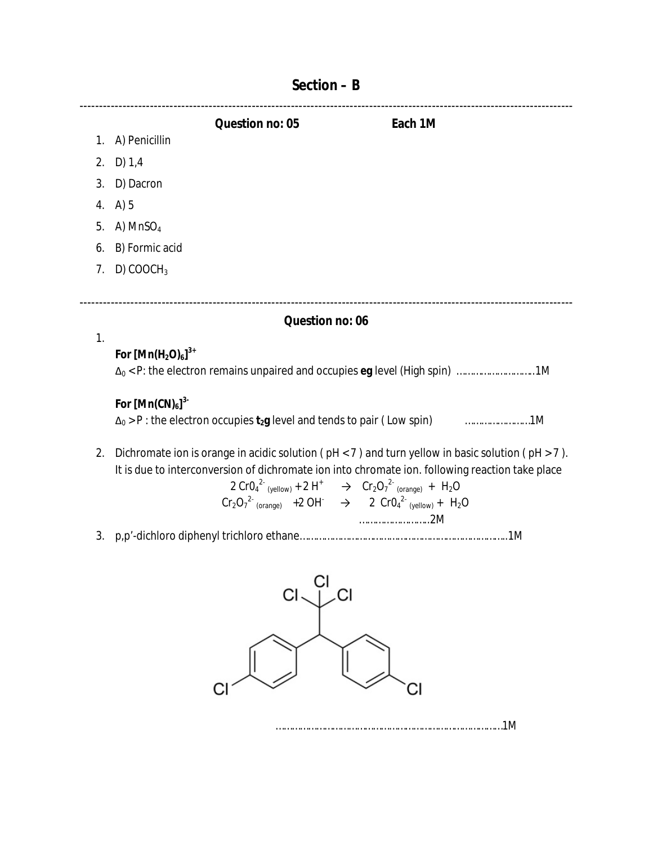|    |                       | Question no: 05 | Each 1M |  |
|----|-----------------------|-----------------|---------|--|
|    | 1. A) Penicillin      |                 |         |  |
| 2. | D) 1,4                |                 |         |  |
| 3. | D) Dacron             |                 |         |  |
|    | 4. A) $5$             |                 |         |  |
|    | 5. A) $MnSO4$         |                 |         |  |
| 6. | B) Formic acid        |                 |         |  |
| 7. | D) COOCH <sub>3</sub> |                 |         |  |
|    |                       |                 |         |  |
|    |                       |                 |         |  |

### **Question no: 06**

# **For [Mn(H2O)6] 3+**

1.

|  |  |  | $\Delta_0$ < P: the electron remains unpaired and occupies eg level (High spin) 1M |
|--|--|--|------------------------------------------------------------------------------------|
|  |  |  |                                                                                    |
|  |  |  |                                                                                    |

# **For [Mn(CN)6] 3-**

| $\Delta_0$ > P : the electron occupies t <sub>2</sub> g level and tends to pair ( Low spin) | 1M |
|---------------------------------------------------------------------------------------------|----|
|---------------------------------------------------------------------------------------------|----|

2. Dichromate ion is orange in acidic solution ( $pH < 7$ ) and turn yellow in basic solution ( $pH > 7$ ). It is due to interconversion of dichromate ion into chromate ion. following reaction take place

$$
2 CrO42 (yellow) + 2 H+ \rightarrow Cr2O72 (orange) + H2O
$$
  
Cr<sub>2</sub>O<sub>7</sub><sup>2</sup> (orange) + 2 OH<sup>-</sup>  $\rightarrow$  2 CrO<sub>4</sub><sup>2</sup> (yellow) + H<sub>2</sub>O  
2002

3. p,p'-dichloro diphenyl trichloro ethane…………………………………………………………………..1M





# **Section – B**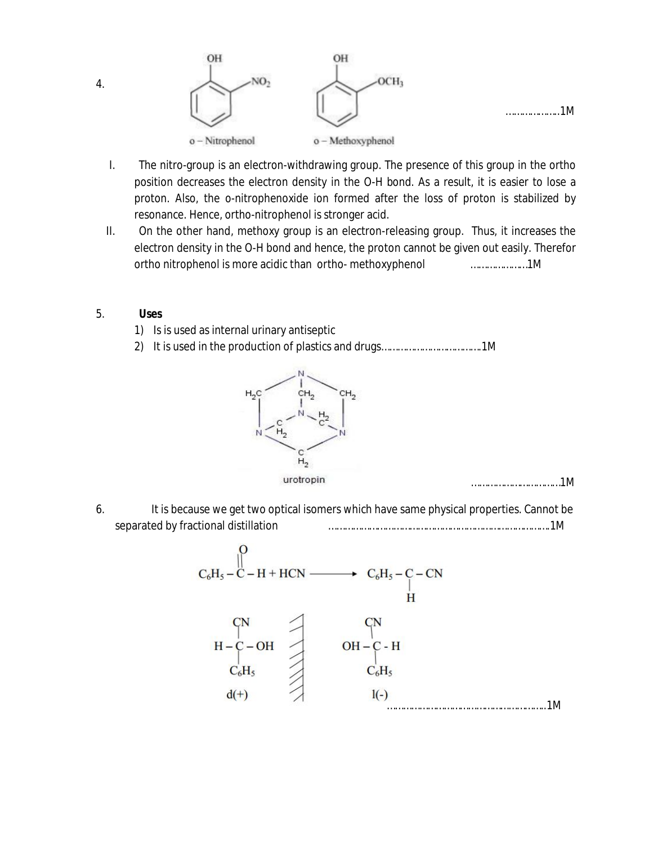

- I. The nitro-group is an electron-withdrawing group. The presence of this group in the ortho position decreases the electron density in the O-H bond. As a result, it is easier to lose a proton. Also, the o-nitrophenoxide ion formed after the loss of proton is stabilized by resonance. Hence, ortho-nitrophenol is stronger acid.
- II. On the other hand, methoxy group is an electron-releasing group. Thus, it increases the electron density in the O-H bond and hence, the proton cannot be given out easily. Therefor ortho nitrophenol is more acidic than ortho- methoxyphenol …………………1M

#### 5. **Uses**

- 1) Is is used as internal urinary antiseptic
- 2) It is used in the production of plastics and drugs……………………………….1M



……………………………1M

6. It is because we get two optical isomers which have same physical properties. Cannot be separated by fractional distillation ……………………………………………………………………….1M



4.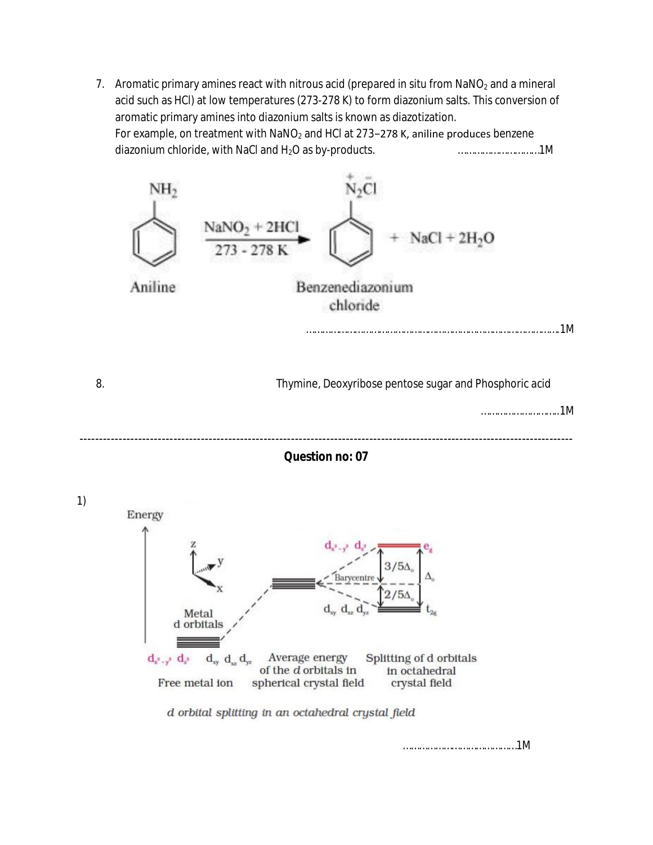7. Aromatic primary amines react with nitrous acid (prepared in situ from  $NaN_2$  and a mineral acid such as HCl) at low temperatures (273-278 K) to form diazonium salts. This conversion of aromatic primary amines into diazonium salts is known as diazotization. For example, on treatment with NaNO<sub>2</sub> and HCl at 273–278 K, aniline produces benzene diazonium chloride, with NaCl and H<sub>2</sub>O as by-products. **Example 20 and H2O** as  $\mu$ <sup>2</sup> and  $\mu$ <sup>2</sup> and  $\mu$ <sup>2</sup> and  $\mu$ <sup>2</sup> and  $\mu$ <sup>2</sup> and  $\mu$ <sup>2</sup> and  $\mu$ <sup>2</sup> and  $\mu$ <sup>2</sup> and  $\mu$ <sup>2</sup> and  $\mu$ <sup>2</sup> and  $\mu$ <sup>2</sup> and  $\mu$ <sup>2</sup> an





……………………………………1M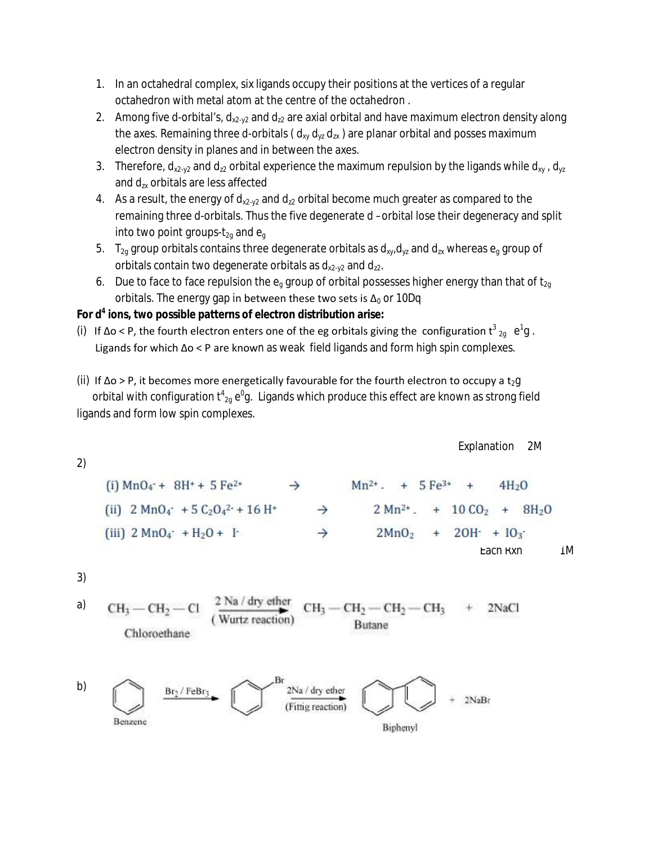- 1. In an octahedral complex, six ligands occupy their positions at the vertices of a regular octahedron with metal atom at the centre of the octahedron .
- 2. Among five d-orbital's,  $d_{x2-y2}$  and  $d_{z2}$  are axial orbital and have maximum electron density along the axes. Remaining three d-orbitals ( $d_{xy} d_{yz} d_{zx}$ ) are planar orbital and posses maximum electron density in planes and in between the axes.
- 3. Therefore,  $d_{x2-y2}$  and  $d_{z2}$  orbital experience the maximum repulsion by the ligands while  $d_{xy}$ ,  $d_{yz}$ and  $d_{\text{rx}}$  orbitals are less affected
- 4. As a result, the energy of  $d_{x2-y2}$  and  $d_{z2}$  orbital become much greater as compared to the remaining three d-orbitals. Thus the five degenerate d –orbital lose their degeneracy and split into two point groups- $t_{2q}$  and  $e_q$
- 5.  $T_{2q}$  group orbitals contains three degenerate orbitals as  $d_{xy}$ ,  $d_{yz}$  and  $d_{zx}$  whereas  $e_q$  group of orbitals contain two degenerate orbitals as  $d_{x2-y2}$  and  $d_{z2}$ .
- 6. Due to face to face repulsion the  $e_q$  group of orbital possesses higher energy than that of t<sub>2g</sub> orbitals. The energy gap in between these two sets is  $\Delta_0$  or 10Dq

## **For d<sup>4</sup> ions, two possible patterns of electron distribution arise:**

- (i) If  $\Delta$ o < P, the fourth electron enters one of the eg orbitals giving the configuration  $t^3_{2g}$  e<sup>1</sup>g. Ligands for which Δo < P are known as weak field ligands and form high spin complexes.
- (ii) If  $\Delta$ o > P, it becomes more energetically favourable for the fourth electron to occupy a t<sub>2</sub>g orbital with configuration  $t^4{}_{2g}\,e^0$ g. Ligands which produce this effect are known as strong field ligands and form low spin complexes.

| (i) MnO <sub>4</sub> $\div$ + 8H <sup>+</sup> + 5 Fe <sup>2+</sup>                                 | $\rightarrow$ | $Mn^{2+}$ . + 5 Fe <sup>3+</sup> + 4H <sub>2</sub> O   |
|----------------------------------------------------------------------------------------------------|---------------|--------------------------------------------------------|
| (ii) 2 MnO <sub>4</sub> $\div$ + 5 C <sub>2</sub> O <sub>4</sub> <sup>2+</sup> + 16 H <sup>+</sup> | $\rightarrow$ | $2 Mn^{2+}$ . + 10 CO <sub>2</sub> + 8H <sub>2</sub> O |
| (iii) 2 MnO <sub>4</sub> $\div$ + H <sub>2</sub> O + I <sup>+</sup>                                | $\rightarrow$ | $2MnO2$ + 2OH <sup>-</sup> + IO <sub>3</sub>           |
| Each rxn                                                                                           | 1M            |                                                        |

Explanation 2M

3)

 $\frac{2 \text{ Na}}{\text{Wurtz reaction}}$  $\rm -CH_2\!-\!CH_2\!-\!CH_3$ a)  $CH<sub>3</sub> - CH<sub>2</sub>$ 2NaCl **Butane** Chloroethane

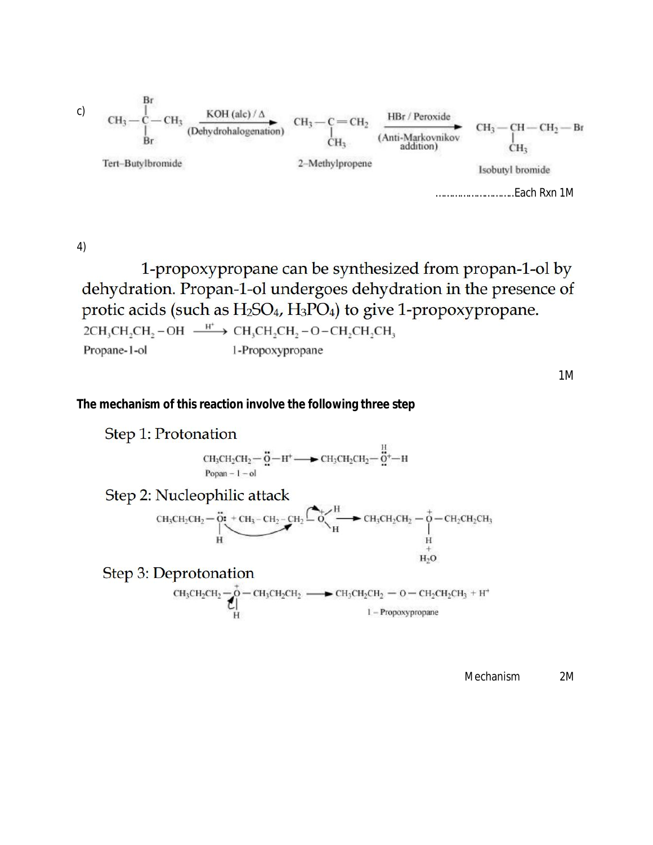c) CH<sub>3</sub> — C — CH<sub>3</sub> (Dehydrohalogenation)

\nLet 
$$
C = C + 2
$$
 (Dehydrohalogenation)

\nLet  $C + 3 = C + 2$  (Anti-Markovnikov distribution)

\nLet  $C + 3 = C + 2$  (Anti-Markovnikov distribution)

\nLet  $C + 3 = C + 2$  (Anti-Markovnikov distribution)

\nLet  $C + 3 = C + 2$  (Anti-Markovnikov distribution)

\nLet  $C + 3 = C + 2$  (Anti-Markovnikov distribution)

\nLet  $C + 3 = C + 2$  (Anti-Markovnikov distribution)

\nLet  $C + 3 = C + 2$  (Anti-Markovnikov distribution)

\nLet  $C + 3 = C + 2$  (Anti-Markovnikov distribution)

\nLet  $C + 3 = C + 2$  (Anti-Markovnikov distribution)

\nLet  $C + 3 = C + 2$  (Anti-Markovnikov distribution)

\nLet  $C + 3 = C + 2$  (Anti-Markovnikov distribution)

\nLet  $C + 3 = C + 2$  (Anti-Markovnikov distribution)

\nLet  $C + 3 = C + 2$  (Anti-Markovnikov distribution)

\nLet  $C + 3 = C + 2$  (Anti-Markovnikov distribution)

\nLet  $C + 3 = C + 2$  (Anti-Markovnikov distribution)

\nLet  $C + 3 = C + 2$  (Anti-Markovnikov distribution)

\nLet  $C + 3 = C + 2$  (Anti-Markovnikov distribution)

\nLet  $C + 3 = C + 2$  (Anti-Markovnikov distribution)

\nLet  $C + 3 = C + 2$  (Anti-Markovnikov distribution)

\nLet  $C + 3 = C + 2$  (Anti-Markovnikov distribution)

\nLet  $C + 3 = C + 2$  (Anti-M

4)

1-propoxypropane can be synthesized from propan-1-ol by dehydration. Propan-1-ol undergoes dehydration in the presence of protic acids (such as  $H_2SO_4$ ,  $H_3PO_4$ ) to give 1-propoxypropane.  $2CH_3CH_2CH_2-OH \xrightarrow{H^+} CH_3CH_2CH_2-O-CH_2CH_2CH_3$ Propane-1-ol 1-Propoxypropane

1M

#### **The mechanism of this reaction involve the following three step**

Step 1: Protonation  $\mathrm{CH_{3}CH_{2}CH_{2}}-\overset{\bullet}{\Omega}-\mathrm{H}^{+}\longrightarrow \mathrm{CH_{3}CH_{2}CH_{2}}-\overset{\mathrm{H}}{\Omega}^{+}-\mathrm{H}$ Popan  $-1$   $-$  ol Step 2: Nucleophilic attack CH<sub>3</sub>CH<sub>2</sub>CH<sub>2</sub> -  $\frac{1}{H}$  - CH<sub>2</sub> - CH<sub>2</sub> - CH<sub>2</sub> - CH<sub>2</sub> - CH<sub>2</sub> - CH<sub>2</sub> - CH<sub>2</sub> - CH<sub>2</sub> - CH<sub>2</sub> - CH<sub>2</sub> - CH<sub>2</sub> - CH<sub>2</sub> - CH<sub>2</sub> - CH<sub>2</sub> - CH<sub>2</sub> - CH<sub>2</sub> - CH<sub>2</sub> - CH<sub>2</sub> - CH<sub>2</sub> - CH<sub>2</sub> - CH<sub>2</sub> - CH<sub>2</sub> - CH<sub>2</sub> - CH<sub>2</sub> -Step 3: Deprotonation  $\text{CH}_3\text{CH}_2\text{CH}_2\begin{array}{r}\n\uparrow \\
\bullet \\
\bullet \\
\bullet \\
\bullet\n\end{array}=\text{CH}_3\text{CH}_2\text{CH}_2 \longrightarrow \text{CH}_3\text{CH}_2\text{CH}_2\begin{array}{r}\n\downarrow \\
\bullet \\
\bullet \\
\bullet \\
\bullet \\
\bullet \\
\bullet\n\end{array}$ 

Mechanism 2M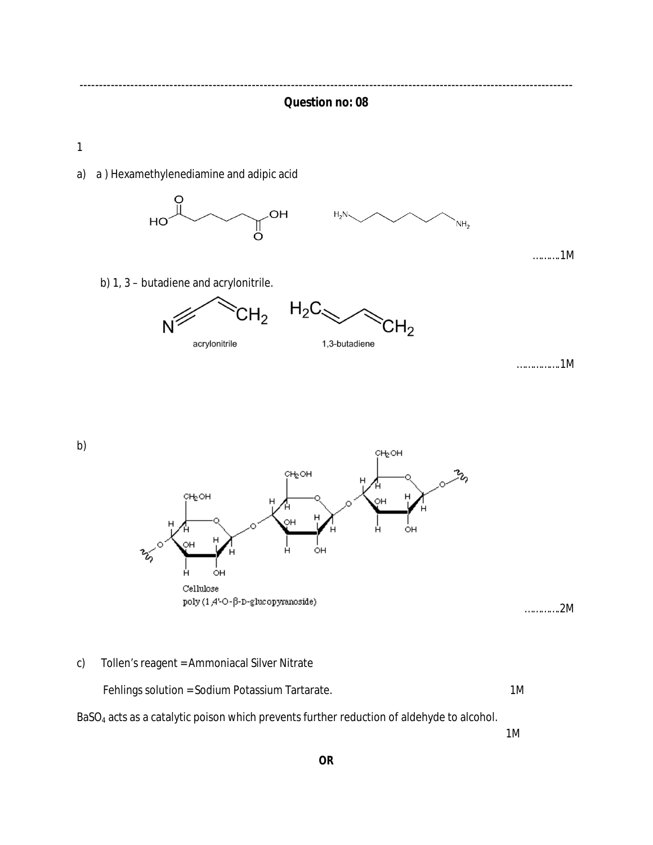------------------------------------------------------------------------------------------------------------------------------ **Question no: 08**

1

a) a ) Hexamethylenediamine and adipic acid



……….1M

b) 1, 3 – butadiene and acrylonitrile.



…………….1M

b)



………….2M

c) Tollen's reagent = Ammoniacal Silver Nitrate

Fehlings solution = Sodium Potassium Tartarate. 1M

BaSO<sup>4</sup> acts as a catalytic poison which prevents further reduction of aldehyde to alcohol.

1M